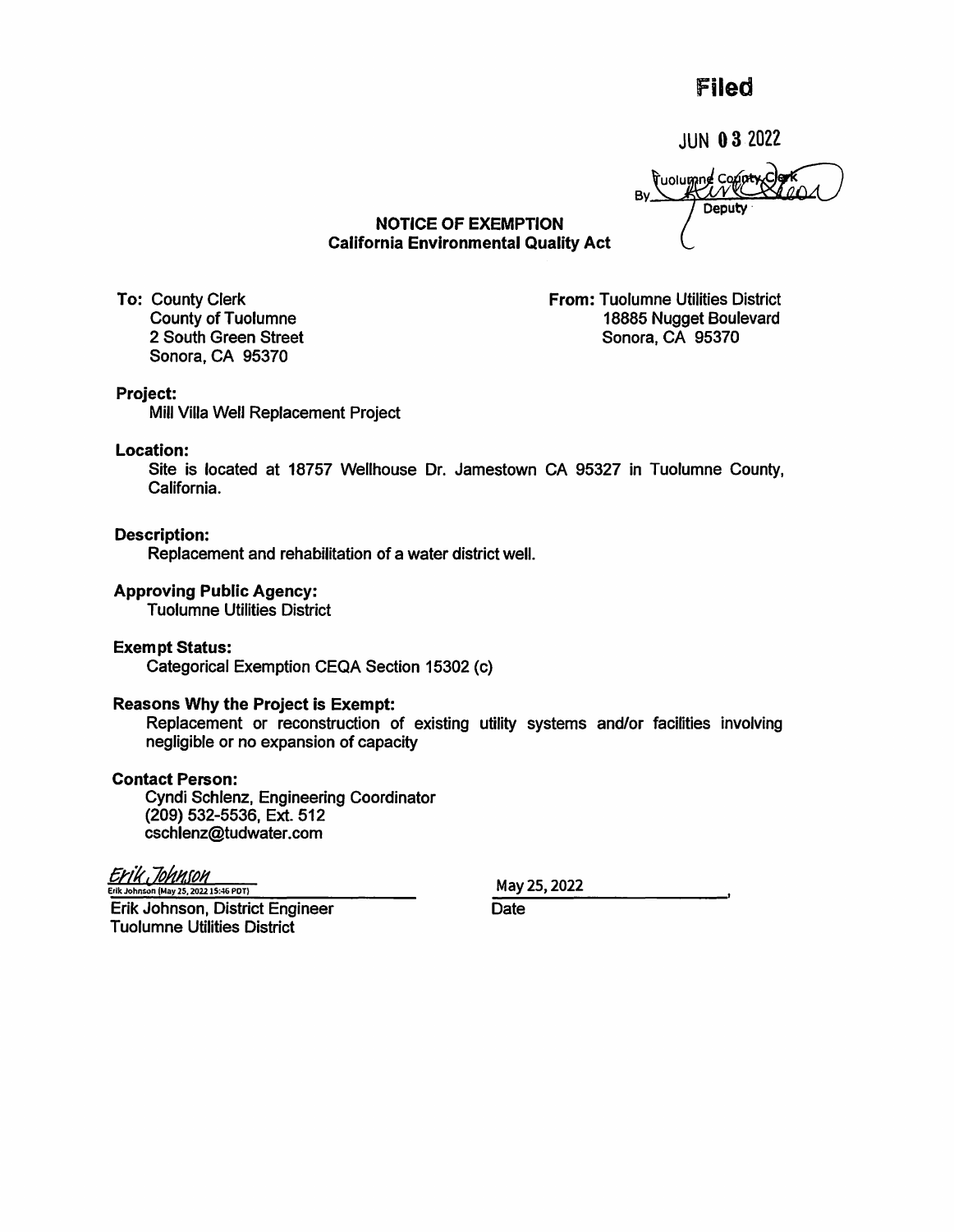# Filed

JUN O 3 2022

Tuolumne Contex Co Bv Deputy

NOTICE OF EXEMPTION California Environmental Quality Act

To: County Clerk County of Tuolumne 2 South Green Street Sonora, CA 95370

**From:** Tuolumne Utilities District 18885 Nugget Boulevard Sonora, CA 95370

# **Project:**

Mill Villa Well Replacement Project

### **Location:**

Site is located at 18757 Wellhouse Dr. Jamestown CA 95327 in Tuolumne County, California.

**Description:**  Replacement and rehabilitation of a water district well.

# **Approving Public Agency:**

Tuolumne Utilities District

# **Exempt Status:**

Categorical Exemption CEQA Section 15302 (c)

# **Reasons Why the Project is Exempt:**

Replacement or reconstruction of existing utility systems and/or facilities involving negligible or no expansion of capacity

# **Contact Person:**

Cyndi Schlenz, Engineering Coordinator (209) 532-5536, Ext. 512 cschlenz@tudwater.com

Erik Johnson Erik Johnson (May 2S, 20221S:-16 PDT)

May25,2022

Erik Johnson, District Engineer Tuolumne Utilities District

**Date**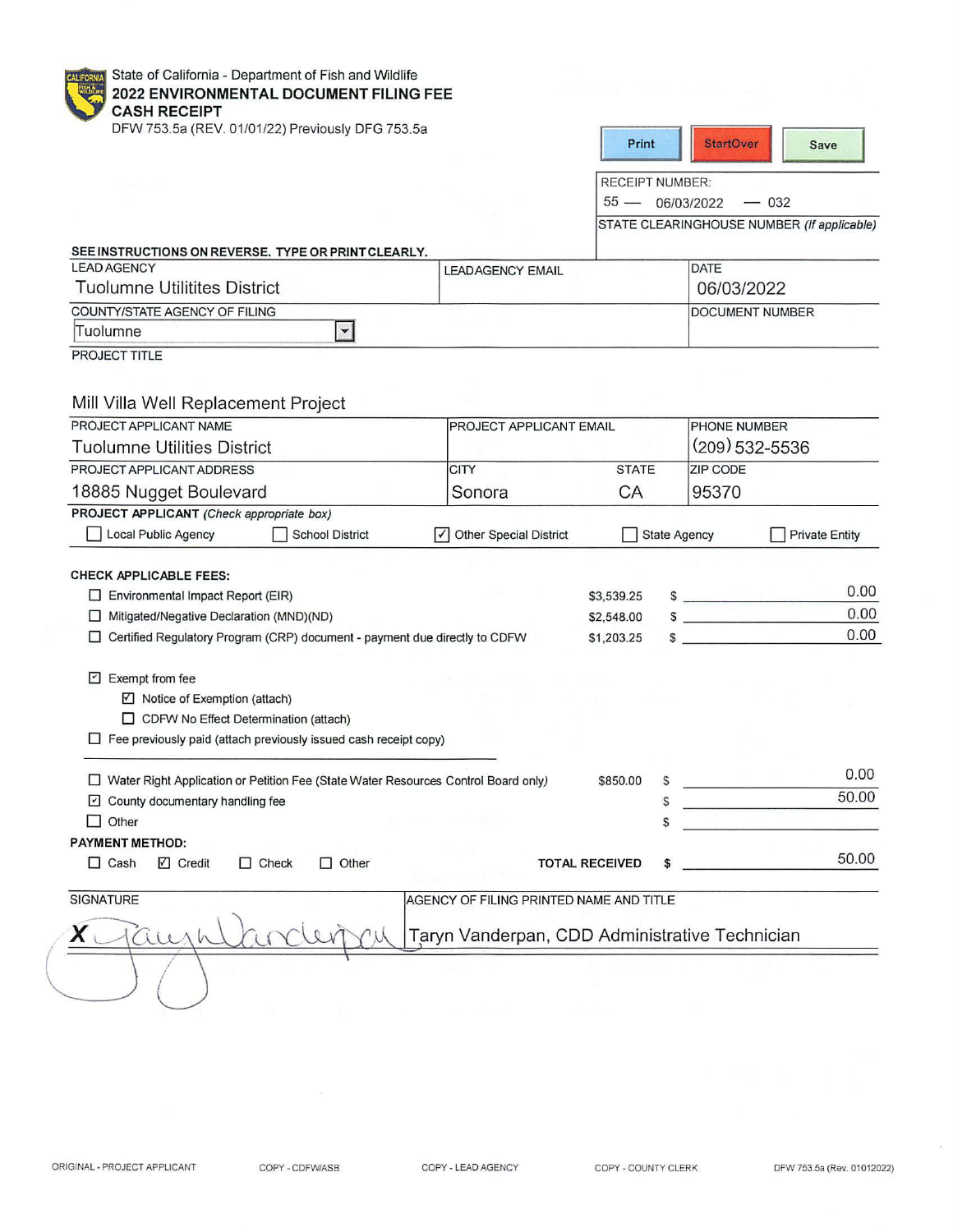State of California - Department of Fish and Wildlife **2022 ENVIRONMENTAL DOCUMENT FILING FEE CASH RECEIPT** 

DFW 753.5a (REV. 01/01/22) Previously DFG 753.5a

| Print | <b>StartOver</b> | <b>Save</b> |
|-------|------------------|-------------|
|       |                  |             |

RECEIPT NUMBER:

 $55 - 06/03/2022 - 032$ 

STATE CLEARINGHOUSE NUMBER (If applicable)

| <b>LEAD AGENCY</b>                  | <b>LEADAGENCY EMAIL</b> | DATE                    |
|-------------------------------------|-------------------------|-------------------------|
| <b>Tuolumne Utilitites District</b> |                         | 06/03/2022              |
| COUNTY/STATE AGENCY OF FILING       |                         | <b>IDOCUMENT NUMBER</b> |
| Tuolumne                            |                         |                         |

PROJECT TITLE

# Mill Villa Well Replacement Project

| PROJECT APPLICANT NAME                                                                                                                                                          | <b>PROJECT APPLICANT EMAIL</b>                 |                       |                     | <b>PHONE NUMBER</b> |                       |
|---------------------------------------------------------------------------------------------------------------------------------------------------------------------------------|------------------------------------------------|-----------------------|---------------------|---------------------|-----------------------|
| Tuolumne Utilities District                                                                                                                                                     |                                                |                       |                     | (209) 532-5536      |                       |
| PROJECT APPLICANT ADDRESS                                                                                                                                                       | <b>CITY</b>                                    | <b>STATE</b>          |                     | <b>ZIP CODE</b>     |                       |
| 18885 Nugget Boulevard                                                                                                                                                          | Sonora                                         | CA                    |                     | 95370               |                       |
| PROJECT APPLICANT (Check appropriate box)                                                                                                                                       |                                                |                       |                     |                     |                       |
| Local Public Agency<br><b>School District</b>                                                                                                                                   | √ Other Special District                       |                       | <b>State Agency</b> |                     | <b>Private Entity</b> |
| <b>CHECK APPLICABLE FEES:</b>                                                                                                                                                   |                                                |                       |                     |                     |                       |
| Environmental Impact Report (EIR)<br>ш                                                                                                                                          |                                                | \$3,539.25            |                     | $\sim$              | 0.00                  |
| Mitigated/Negative Declaration (MND)(ND)<br>□                                                                                                                                   |                                                | \$2,548.00            |                     | S                   | 0.00                  |
| Certified Regulatory Program (CRP) document - payment due directly to CDFW                                                                                                      |                                                | \$1,203.25            |                     |                     | 0.00                  |
| Exempt from fee<br>M<br>$\Box$ Notice of Exemption (attach)<br>CDFW No Effect Determination (attach)<br>$\Box$ Fee previously paid (attach previously issued cash receipt copy) |                                                |                       |                     |                     |                       |
| Water Right Application or Petition Fee (State Water Resources Control Board only)                                                                                              |                                                | \$850.00              | S                   |                     | 0.00                  |
| County documentary handling fee<br>$\mathsf{L}$                                                                                                                                 |                                                |                       | S                   |                     | 50.00                 |
| Other                                                                                                                                                                           |                                                |                       | S                   |                     |                       |
| <b>PAYMENT METHOD:</b>                                                                                                                                                          |                                                |                       |                     |                     |                       |
| $\Box$ Check<br>Other<br>Cash<br>☑ Credit<br>ш<br>П                                                                                                                             |                                                | <b>TOTAL RECEIVED</b> |                     |                     | 50.00                 |
| <b>SIGNATURE</b>                                                                                                                                                                | AGENCY OF FILING PRINTED NAME AND TITLE        |                       |                     |                     |                       |
| $(i\in \Lambda$                                                                                                                                                                 | Taryn Vanderpan, CDD Administrative Technician |                       |                     |                     |                       |
|                                                                                                                                                                                 |                                                |                       |                     |                     |                       |

 $\sqrt{2}$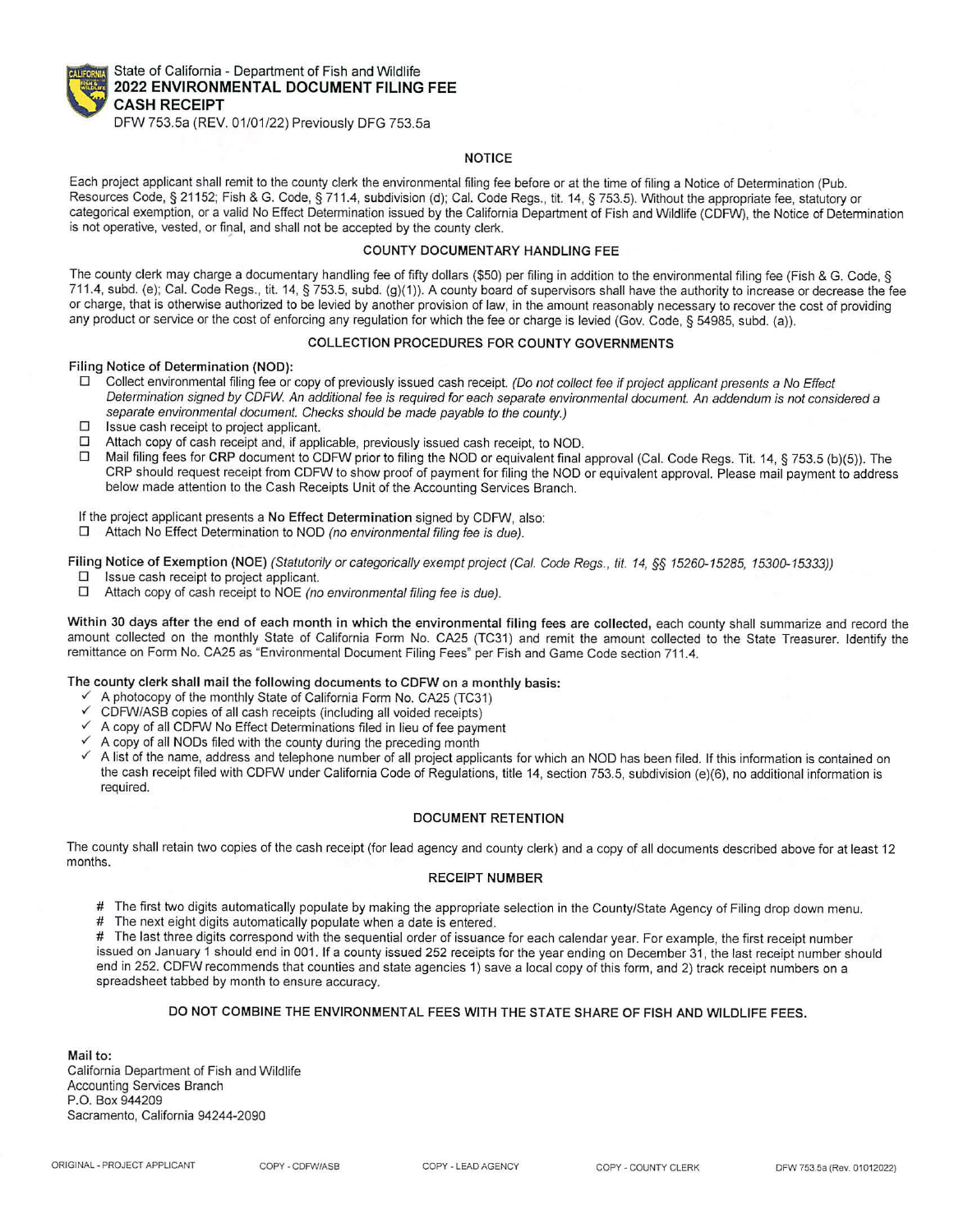

State of California - Department of Fish and Wildlife **2022 ENVIRONMENTAL DOCUMENT FILING FEE CASH RECEIPT** 

DFW 753.Sa (REV. 01/01/22) Previously DFG 753.Sa

#### **NOTICE**

Each project applicant shall remit to the county clerk the environmental filing fee before or at the time of filing a Notice of Determination (Pub. Resources Code, § 21152; Fish & G. Code, § 711.4, subdivision (d); Cal. Code Regs., tit. 14, § 753.5). Without the appropriate fee, statutory or categorical exemption, or a valid No Effect Determination issued by the California Department of Fish and Wildlife (CDFW), the Notice of Determination is not operative, vested, or final, and shall not be accepted by the county clerk.

# **COUNTY DOCUMENT ARY HANDLING** FEE

The county clerk may charge a documentary handling fee of fifty dollars (\$50) per filing in addition to the environmental filing fee (Fish & G. Code, § 711.4, subd. (e); Cal. Code Regs., tit. 14, § 753.5, subd. (g)(1)). A county board of supervisors shall have the authority to increase or decrease the fee or charge, that is otherwise authorized to be levied by another provision of law, in the amount reasonably necessary to recover the cost of providing any product or service or the cost of enforcing any regulation for which the fee or charge is levied (Gov. Code, § 54985, subd. (a)).

#### COLLECTION PROCEDURES FOR COUNTY GOVERNMENTS

#### Filing Notice of Determination (NOD):

- $\square$  Collect environmental filing fee or copy of previously issued cash receipt. (Do not collect fee if project applicant presents a No Effect Determination signed by CDFW An additional fee is required for each separate environmental document. An addendum is not considered a separate environmental document. Checks should be made payable to the county.)
- $\square$  Issue cash receipt to project applicant.<br> $\square$  Attach copy of cash receipt and, if appl
- □ Attach copy of cash receipt and, if applicable, previously issued cash receipt, to NOD.<br>□ Mail filing fees for CRP document to CDEW prior to filing the NOD or equivalent final
- Mail filing fees for CRP document to CDFW prior to filing the NOD or equivalent final approval (Cal. Code Regs. Tit. 14, § 753.5 (b)(5)). The CRP should request receipt from CDFW to show proof of payment for filing the NOD or equivalent approval. Please mail payment to address below made attention to the Cash Receipts Unit of the Accounting Services Branch.

If the project applicant presents a No Effect Determination signed by CDFW, also:<br> $\Box$  Attach No Effect Determination to NOD (no environmental filing fee is due)

Attach No Effect Determination to NOD (no environmental filing fee is due).

Filing Notice of Exemption (NOE) (Statutorily or categorically exempt project (Cal. Code Regs., tit. 14, §§ 15260-15285, 15300-15333))<br>
□ Issue cash receipt to project applicant.

- $\Box$  Issue cash receipt to project applicant.<br> $\Box$  Attach conv of cash receipt to NOE (no
- Attach copy of cash receipt to NOE (no environmental filing fee is due).

Within 30 days after the end of each month in which the environmental filing fees are collected, each county shall summarize and record the amount collected on the monthly State of California Form No. CA25 (TC31) and remit the amount collected to the State Treasurer. Identify the remittance on Form No. CA25 as "Environmental Document Filing Fees" per Fish and Game Code section 711.4.

#### The county clerk shall mail the following documents to CDFW on a monthly basis:

- $\checkmark$  A photocopy of the monthly State of California Form No. CA25 (TC31)
- $\checkmark$  CDFW/ASB copies of all cash receipts (including all voided receipts)
- A copy of all CDFW No Effect Determinations filed in lieu of fee payment
- A copy of all NODs filed with the county during the preceding month
- A list of the name, address and telephone number of all project applicants for which an NOD has been filed. If this information is contained on the cash receipt filed with CDFW under California Code of Regulations, title 14, section 753.5, subdivision (e)(6), no additional information is required.

#### **DOCUMENT RETENTION**

The county shall retain two copies of the cash receipt (for lead agency and county clerk) and a copy of all documents described above for at least 12 months.

#### RECEIPT **NUMBER**

# The first two digits automatically populate by making the appropriate selection in the County/State Agency of Filing drop down menu.<br># The next eight digits automatically populate when a date is entered.

# The next eight digits automatically populate when a date is entered.<br># The last three digits correspond with the sequential order of issuance

The last three digits correspond with the sequential order of issuance for each calendar year. For example, the first receipt number issued on January 1 should end in 001. If a county issued 252 receipts for the year ending on December 31, the last receipt number should end in 252. CDFW recommends that counties and state agencies 1) save a local copy of this form, and 2) track receipt numbers on a spreadsheet tabbed by month to ensure accuracy.

#### DO NOT COMBINE THE ENVIRONMENTAL FEES WITH THE STATE SHARE OF FISH AND WILDLIFE FEES.

**Mail** to: California Department of Fish and Wildlife Accounting Services Branch P.O. Box 944209 Sacramento, California 94244-2090